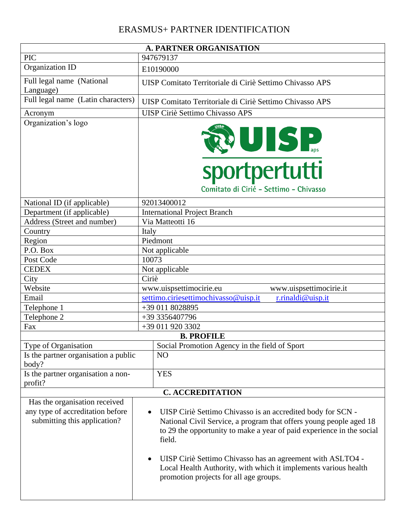## ERASMUS+ PARTNER IDENTIFICATION

|                                                                  | <b>A. PARTNER ORGANISATION</b>                                                                                                                                                                                                    |  |  |  |  |
|------------------------------------------------------------------|-----------------------------------------------------------------------------------------------------------------------------------------------------------------------------------------------------------------------------------|--|--|--|--|
| <b>PIC</b>                                                       | 947679137                                                                                                                                                                                                                         |  |  |  |  |
| Organization ID                                                  | E10190000                                                                                                                                                                                                                         |  |  |  |  |
| Full legal name (National<br>Language)                           | UISP Comitato Territoriale di Ciriè Settimo Chivasso APS                                                                                                                                                                          |  |  |  |  |
| Full legal name (Latin characters)                               | UISP Comitato Territoriale di Ciriè Settimo Chivasso APS                                                                                                                                                                          |  |  |  |  |
| Acronym                                                          | <b>UISP Ciriè Settimo Chivasso APS</b>                                                                                                                                                                                            |  |  |  |  |
| Organization's logo                                              | DISP.<br>sportpertutti<br>Comitato di Cirié - Settimo - Chivasso                                                                                                                                                                  |  |  |  |  |
| National ID (if applicable)                                      | 92013400012                                                                                                                                                                                                                       |  |  |  |  |
| Department (if applicable)                                       | <b>International Project Branch</b>                                                                                                                                                                                               |  |  |  |  |
| Address (Street and number)                                      | Via Matteotti 16                                                                                                                                                                                                                  |  |  |  |  |
| Country                                                          | Italy                                                                                                                                                                                                                             |  |  |  |  |
| Region                                                           | Piedmont                                                                                                                                                                                                                          |  |  |  |  |
| P.O. Box                                                         | Not applicable                                                                                                                                                                                                                    |  |  |  |  |
| Post Code                                                        | 10073                                                                                                                                                                                                                             |  |  |  |  |
| <b>CEDEX</b>                                                     | Not applicable                                                                                                                                                                                                                    |  |  |  |  |
| City                                                             | Ciriè                                                                                                                                                                                                                             |  |  |  |  |
| Website                                                          | www.uispsettimocirie.eu<br>www.uispsettimocirie.it                                                                                                                                                                                |  |  |  |  |
| Email                                                            | settimo.ciriesettimochivasso@uisp.it<br>r.rinaldi@uisp.it                                                                                                                                                                         |  |  |  |  |
| Telephone 1                                                      | +39 011 8028895                                                                                                                                                                                                                   |  |  |  |  |
| Telephone 2                                                      | +39 3356407796                                                                                                                                                                                                                    |  |  |  |  |
| Fax                                                              | +39 011 920 3302                                                                                                                                                                                                                  |  |  |  |  |
|                                                                  | <b>B. PROFILE</b>                                                                                                                                                                                                                 |  |  |  |  |
| Type of Organisation<br>Is the partner organisation a public     | Social Promotion Agency in the field of Sport<br>N <sub>O</sub>                                                                                                                                                                   |  |  |  |  |
| body?                                                            |                                                                                                                                                                                                                                   |  |  |  |  |
| Is the partner organisation a non-<br>profit?                    | <b>YES</b>                                                                                                                                                                                                                        |  |  |  |  |
|                                                                  | <b>C. ACCREDITATION</b>                                                                                                                                                                                                           |  |  |  |  |
| Has the organisation received                                    |                                                                                                                                                                                                                                   |  |  |  |  |
| any type of accreditation before<br>submitting this application? | UISP Ciriè Settimo Chivasso is an accredited body for SCN -<br>$\bullet$<br>National Civil Service, a program that offers young people aged 18<br>to 29 the opportunity to make a year of paid experience in the social<br>field. |  |  |  |  |
|                                                                  | UISP Ciriè Settimo Chivasso has an agreement with ASLTO4 -<br>Local Health Authority, with which it implements various health<br>promotion projects for all age groups.                                                           |  |  |  |  |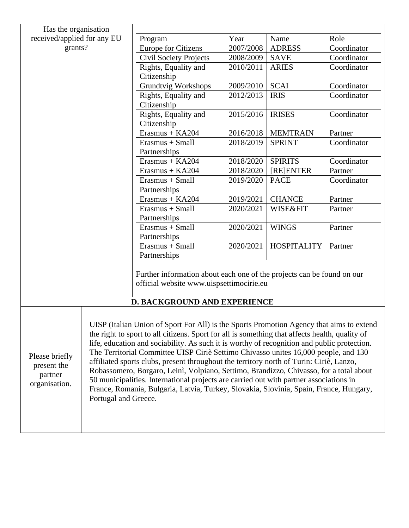| Has the organisation                                                                                                                                                                                                                                                                                                                                                                                                                                                                                                                                                                                                                                                                                                                                                                                                                           |  |                                                                                                                    |           |                     |             |
|------------------------------------------------------------------------------------------------------------------------------------------------------------------------------------------------------------------------------------------------------------------------------------------------------------------------------------------------------------------------------------------------------------------------------------------------------------------------------------------------------------------------------------------------------------------------------------------------------------------------------------------------------------------------------------------------------------------------------------------------------------------------------------------------------------------------------------------------|--|--------------------------------------------------------------------------------------------------------------------|-----------|---------------------|-------------|
| received/applied for any EU                                                                                                                                                                                                                                                                                                                                                                                                                                                                                                                                                                                                                                                                                                                                                                                                                    |  | Program                                                                                                            | Year      | Name                | Role        |
| grants?                                                                                                                                                                                                                                                                                                                                                                                                                                                                                                                                                                                                                                                                                                                                                                                                                                        |  | <b>Europe for Citizens</b>                                                                                         | 2007/2008 | <b>ADRESS</b>       | Coordinator |
|                                                                                                                                                                                                                                                                                                                                                                                                                                                                                                                                                                                                                                                                                                                                                                                                                                                |  | <b>Civil Society Projects</b>                                                                                      | 2008/2009 | <b>SAVE</b>         | Coordinator |
|                                                                                                                                                                                                                                                                                                                                                                                                                                                                                                                                                                                                                                                                                                                                                                                                                                                |  | Rights, Equality and                                                                                               | 2010/2011 | <b>ARIES</b>        | Coordinator |
|                                                                                                                                                                                                                                                                                                                                                                                                                                                                                                                                                                                                                                                                                                                                                                                                                                                |  | Citizenship                                                                                                        |           |                     |             |
|                                                                                                                                                                                                                                                                                                                                                                                                                                                                                                                                                                                                                                                                                                                                                                                                                                                |  | <b>Grundtvig Workshops</b>                                                                                         | 2009/2010 | <b>SCAI</b>         | Coordinator |
|                                                                                                                                                                                                                                                                                                                                                                                                                                                                                                                                                                                                                                                                                                                                                                                                                                                |  | Rights, Equality and<br>Citizenship                                                                                | 2012/2013 | <b>IRIS</b>         | Coordinator |
|                                                                                                                                                                                                                                                                                                                                                                                                                                                                                                                                                                                                                                                                                                                                                                                                                                                |  | Rights, Equality and<br>Citizenship                                                                                | 2015/2016 | <b>IRISES</b>       | Coordinator |
|                                                                                                                                                                                                                                                                                                                                                                                                                                                                                                                                                                                                                                                                                                                                                                                                                                                |  | Erasmus + KA204                                                                                                    | 2016/2018 | <b>MEMTRAIN</b>     | Partner     |
|                                                                                                                                                                                                                                                                                                                                                                                                                                                                                                                                                                                                                                                                                                                                                                                                                                                |  | Erasmus + Small<br>Partnerships                                                                                    | 2018/2019 | <b>SPRINT</b>       | Coordinator |
|                                                                                                                                                                                                                                                                                                                                                                                                                                                                                                                                                                                                                                                                                                                                                                                                                                                |  | $Erasmus + KA204$                                                                                                  | 2018/2020 | <b>SPIRITS</b>      | Coordinator |
|                                                                                                                                                                                                                                                                                                                                                                                                                                                                                                                                                                                                                                                                                                                                                                                                                                                |  | $Erasmus + KA204$                                                                                                  | 2018/2020 | [RE]ENTER           | Partner     |
|                                                                                                                                                                                                                                                                                                                                                                                                                                                                                                                                                                                                                                                                                                                                                                                                                                                |  | Erasmus + Small<br>Partnerships                                                                                    | 2019/2020 | <b>PACE</b>         | Coordinator |
|                                                                                                                                                                                                                                                                                                                                                                                                                                                                                                                                                                                                                                                                                                                                                                                                                                                |  | $Erasmus + KA204$                                                                                                  | 2019/2021 | <b>CHANCE</b>       | Partner     |
|                                                                                                                                                                                                                                                                                                                                                                                                                                                                                                                                                                                                                                                                                                                                                                                                                                                |  | Erasmus + Small                                                                                                    | 2020/2021 | <b>WISE&amp;FIT</b> | Partner     |
|                                                                                                                                                                                                                                                                                                                                                                                                                                                                                                                                                                                                                                                                                                                                                                                                                                                |  | Partnerships                                                                                                       |           |                     |             |
|                                                                                                                                                                                                                                                                                                                                                                                                                                                                                                                                                                                                                                                                                                                                                                                                                                                |  | Erasmus + Small<br>Partnerships                                                                                    | 2020/2021 | <b>WINGS</b>        | Partner     |
|                                                                                                                                                                                                                                                                                                                                                                                                                                                                                                                                                                                                                                                                                                                                                                                                                                                |  | Erasmus + Small<br>Partnerships                                                                                    | 2020/2021 | <b>HOSPITALITY</b>  | Partner     |
|                                                                                                                                                                                                                                                                                                                                                                                                                                                                                                                                                                                                                                                                                                                                                                                                                                                |  | Further information about each one of the projects can be found on our<br>official website www.uispsettimocirie.eu |           |                     |             |
|                                                                                                                                                                                                                                                                                                                                                                                                                                                                                                                                                                                                                                                                                                                                                                                                                                                |  | D. BACKGROUND AND EXPERIENCE                                                                                       |           |                     |             |
| UISP (Italian Union of Sport For All) is the Sports Promotion Agency that aims to extend<br>the right to sport to all citizens. Sport for all is something that affects health, quality of<br>life, education and sociability. As such it is worthy of recognition and public protection.<br>The Territorial Committee UISP Ciriè Settimo Chivasso unites 16,000 people, and 130<br>Please briefly<br>affiliated sports clubs, present throughout the territory north of Turin: Ciriè, Lanzo,<br>present the<br>Robassomero, Borgaro, Leinì, Volpiano, Settimo, Brandizzo, Chivasso, for a total about<br>partner<br>50 municipalities. International projects are carried out with partner associations in<br>organisation.<br>France, Romania, Bulgaria, Latvia, Turkey, Slovakia, Slovinia, Spain, France, Hungary,<br>Portugal and Greece. |  |                                                                                                                    |           |                     |             |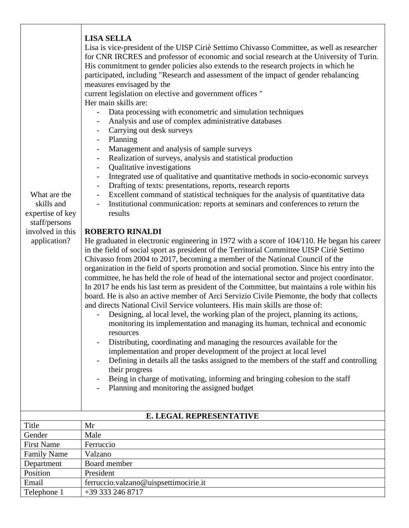| <b>LISA SELLA</b><br>Lisa is vice-president of the UISP Ciriè Settimo Chivasso Committee, as well as researcher<br>for CNR IRCRES and professor of economic and social research at the University of Turin.<br>His commitment to gender policies also extends to the research projects in which he<br>participated, including "Research and assessment of the impact of gender rebalancing<br>measures envisaged by the<br>current legislation on elective and government offices "<br>Her main skills are:<br>Data processing with econometric and simulation techniques<br>Analysis and use of complex administrative databases<br>Carrying out desk surveys<br>Planning<br>$\overline{\phantom{a}}$<br>Management and analysis of sample surveys<br>Realization of surveys, analysis and statistical production<br>Qualitative investigations<br>Integrated use of qualitative and quantitative methods in socio-economic surveys<br>$\overline{\phantom{a}}$<br>Drafting of texts: presentations, reports, research reports<br>$\overline{\phantom{a}}$<br>Excellent command of statistical techniques for the analysis of quantitative data<br>What are the<br>$\overline{\phantom{a}}$<br>Institutional communication: reports at seminars and conferences to return the<br>skills and<br>expertise of key<br>results<br>staff/persons<br>involved in this<br><b>ROBERTO RINALDI</b><br>He graduated in electronic engineering in 1972 with a score of 104/110. He began his career<br>application?<br>in the field of social sport as president of the Territorial Committee UISP Ciriè Settimo<br>Chivasso from 2004 to 2017, becoming a member of the National Council of the<br>organization in the field of sports promotion and social promotion. Since his entry into the<br>committee, he has held the role of head of the international sector and project coordinator.<br>In 2017 he ends his last term as president of the Committee, but maintains a role within his<br>board. He is also an active member of Arci Servizio Civile Piemonte, the body that collects<br>and directs National Civil Service volunteers. His main skills are those of:<br>Designing, al local level, the working plan of the project, planning its actions,<br>monitoring its implementation and managing its human, technical and economic<br>resources<br>Distributing, coordinating and managing the resources available for the<br>implementation and proper development of the project at local level<br>Defining in details all the tasks assigned to the members of the staff and controlling<br>their progress<br>Being in charge of motivating, informing and bringing cohesion to the staff<br>Planning and monitoring the assigned budget |  |
|-----------------------------------------------------------------------------------------------------------------------------------------------------------------------------------------------------------------------------------------------------------------------------------------------------------------------------------------------------------------------------------------------------------------------------------------------------------------------------------------------------------------------------------------------------------------------------------------------------------------------------------------------------------------------------------------------------------------------------------------------------------------------------------------------------------------------------------------------------------------------------------------------------------------------------------------------------------------------------------------------------------------------------------------------------------------------------------------------------------------------------------------------------------------------------------------------------------------------------------------------------------------------------------------------------------------------------------------------------------------------------------------------------------------------------------------------------------------------------------------------------------------------------------------------------------------------------------------------------------------------------------------------------------------------------------------------------------------------------------------------------------------------------------------------------------------------------------------------------------------------------------------------------------------------------------------------------------------------------------------------------------------------------------------------------------------------------------------------------------------------------------------------------------------------------------------------------------------------------------------------------------------------------------------------------------------------------------------------------------------------------------------------------------------------------------------------------------------------------------------------------------------------------------------------------------------------------------------------------------------------------------------------------------------------------------------------------------------------------------------------------|--|
| E. LEGAL REPRESENTATIVE                                                                                                                                                                                                                                                                                                                                                                                                                                                                                                                                                                                                                                                                                                                                                                                                                                                                                                                                                                                                                                                                                                                                                                                                                                                                                                                                                                                                                                                                                                                                                                                                                                                                                                                                                                                                                                                                                                                                                                                                                                                                                                                                                                                                                                                                                                                                                                                                                                                                                                                                                                                                                                                                                                                             |  |
| Title<br>Mr                                                                                                                                                                                                                                                                                                                                                                                                                                                                                                                                                                                                                                                                                                                                                                                                                                                                                                                                                                                                                                                                                                                                                                                                                                                                                                                                                                                                                                                                                                                                                                                                                                                                                                                                                                                                                                                                                                                                                                                                                                                                                                                                                                                                                                                                                                                                                                                                                                                                                                                                                                                                                                                                                                                                         |  |
| Male<br>Gender                                                                                                                                                                                                                                                                                                                                                                                                                                                                                                                                                                                                                                                                                                                                                                                                                                                                                                                                                                                                                                                                                                                                                                                                                                                                                                                                                                                                                                                                                                                                                                                                                                                                                                                                                                                                                                                                                                                                                                                                                                                                                                                                                                                                                                                                                                                                                                                                                                                                                                                                                                                                                                                                                                                                      |  |
| <b>First Name</b><br>Ferruccio                                                                                                                                                                                                                                                                                                                                                                                                                                                                                                                                                                                                                                                                                                                                                                                                                                                                                                                                                                                                                                                                                                                                                                                                                                                                                                                                                                                                                                                                                                                                                                                                                                                                                                                                                                                                                                                                                                                                                                                                                                                                                                                                                                                                                                                                                                                                                                                                                                                                                                                                                                                                                                                                                                                      |  |
| <b>Family Name</b><br>Valzano                                                                                                                                                                                                                                                                                                                                                                                                                                                                                                                                                                                                                                                                                                                                                                                                                                                                                                                                                                                                                                                                                                                                                                                                                                                                                                                                                                                                                                                                                                                                                                                                                                                                                                                                                                                                                                                                                                                                                                                                                                                                                                                                                                                                                                                                                                                                                                                                                                                                                                                                                                                                                                                                                                                       |  |
| Board member<br>Department                                                                                                                                                                                                                                                                                                                                                                                                                                                                                                                                                                                                                                                                                                                                                                                                                                                                                                                                                                                                                                                                                                                                                                                                                                                                                                                                                                                                                                                                                                                                                                                                                                                                                                                                                                                                                                                                                                                                                                                                                                                                                                                                                                                                                                                                                                                                                                                                                                                                                                                                                                                                                                                                                                                          |  |
| Position<br>President                                                                                                                                                                                                                                                                                                                                                                                                                                                                                                                                                                                                                                                                                                                                                                                                                                                                                                                                                                                                                                                                                                                                                                                                                                                                                                                                                                                                                                                                                                                                                                                                                                                                                                                                                                                                                                                                                                                                                                                                                                                                                                                                                                                                                                                                                                                                                                                                                                                                                                                                                                                                                                                                                                                               |  |
| ferruccio.valzano@uispsettimocirie.it<br>Email                                                                                                                                                                                                                                                                                                                                                                                                                                                                                                                                                                                                                                                                                                                                                                                                                                                                                                                                                                                                                                                                                                                                                                                                                                                                                                                                                                                                                                                                                                                                                                                                                                                                                                                                                                                                                                                                                                                                                                                                                                                                                                                                                                                                                                                                                                                                                                                                                                                                                                                                                                                                                                                                                                      |  |
|                                                                                                                                                                                                                                                                                                                                                                                                                                                                                                                                                                                                                                                                                                                                                                                                                                                                                                                                                                                                                                                                                                                                                                                                                                                                                                                                                                                                                                                                                                                                                                                                                                                                                                                                                                                                                                                                                                                                                                                                                                                                                                                                                                                                                                                                                                                                                                                                                                                                                                                                                                                                                                                                                                                                                     |  |